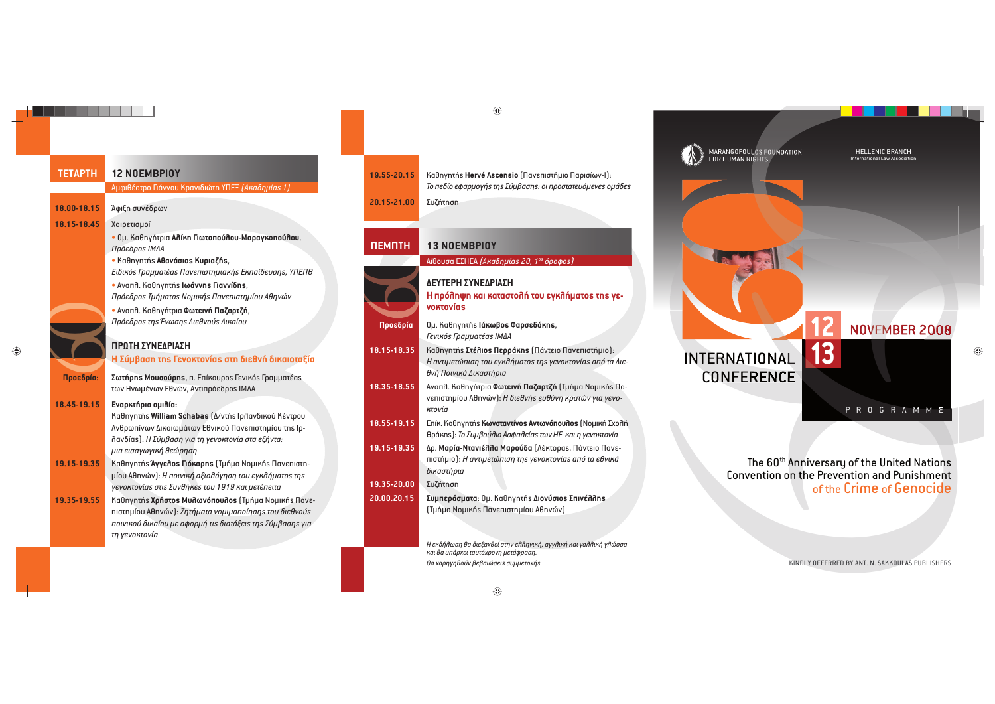### **TETAPTH 12 NOEMBPIOY** ÜxĂąď÷ýĎČĊ ÓąèĉĉĊē âČýĉąĀąċĎĄ íØÞ× *(ÜćýĀĄxùýđ 1)*

**18.00-18.15** <sup>[</sup> Άφι επ συνέδρων

**18.15-18.45** Χαιρετισμοί

• Ομ. Καθηγήτρια **Αλίκη Γιωτοπούλου-Μαραγκοπούλου**, Πρόεδρο*ς* ΙΜΔΑ • Kaθnγnτήs **Aθανάσιοs Kupιαζήs**,

*ÞąĀąćúđ ÓČýxxýĎ÷ýđ ØýĉāyąčĎĄxąýćøđ ÞćyýùĀāēčĄđ, íØÞØÕ* • Avaπñ. Kaθnγnτńs **Iωávvns Γιαννίδns**,

*Πρόεδρος Τμήματος Νομικής Πανεπιστημίου Αθηνών* • Avanr. Kaθnγήτρια **Φωτεινή Παζαρτζή**,

**600 Million** *Πρόεδρος της Ένωσης Διεθνούς Δικαίου* 

### **ΠΡΟΤΗ ΣΥΝΕΔΡΙΑΣΗ**

### **H** Σύμβαση της Γενοκτονίας στη διεθνή δικαιοταξία

**Προεδρία:** Σωτήρης Μουσούρης, π. Επίκουρος Γενικός Γραμματέας των Ηνωμένων Εθνών, Αντιπρόεδρος ΙΜΔΑ

### **18.45-19.15 • Εναρκτήρια ομιλία:**

Kαθηγητήs **William Schabas** (Δ/ντήs Ιρλανδικού Κέντρου Aνθρωπίνων Δικαιωμάτων Εθνικού Πανεπιστημίου της Ιρ- $\frac{\partial}{\partial x}$  *λ* **a** *i A Σύμβαση για τη γενοκτονία στα εξήντα: xąý āąčýăĐăąćø ďāċČĄčĄ*

- **19.15-19.35 | Καθηγητής Άγγελος Γιόκαρης** (Τμήμα Νομικής Πανεπιστη- $\mu$ ίου Αθηνών): *Η ποινική αξιολόγηση του εγκλήματοs τηs γενοκτονίαs στιs Συνθήκεs του 1919 και μετέπειτα*
- 19.35-19.55 **i** Kaθηγητήs Χρήστοs Μυλωνόπουλοs (Τμήμα Νομικήs Πανε $n$ ιστημίου Αθηνών): *Ζητήματα νομιμοποίησης του διεθνούς yĊąĉąćĊü ĀąćýùĊē xā ýĂĊČxø Ďąđ ĀąýĎèĆāąđĎĄđ ÚüxþýčĄđ ăąý τη γενοκτονία*

| $9.55 - 20.15$  | ł |
|-----------------|---|
|                 |   |
| $20.15 - 21.00$ | I |

## **à yČúĈĄÿĄ ćýą ćýĎýčĎĊĈø ĎĊē āăćĈøxýĎĊđ ĎĄđ ăāvoktovías**

- **Προεδρία | Ομ. Καθηνητής Ιάκωβος Φαρσεδάκης,**  $\Gamma$ ενικός Γραμματέας ΙΜΔΑ
- 18.15-18.35 Kaθηγητήs Στέλιοs Περράκηs (Πάντειο Πανεπιστήμιο): *H* αντιμετώπιση του ενκλήματος της νενοκτονίας από τα Διε*θ*νή Πρινικά Λικαστήρια
- 18.35-18.55 Avann. Kaθηγήτρια Φωτεινή Παζαρτζή (Τμήμα Νομικής Πα $v$ επιστημίου Αθηνών): *Η διεθνής ευθύνη κρατών για νενοκτονία*
- 18.55-19.15 **Επίκ. Καθηγητής Κωνσταντίνος Αντωνόπουλος** (Νομική Σχολή  $\theta$ ράκης): *Το Συμβούλιο Ασφαλείας των ΗΕ και η γενοκτονία*
- 19.15-19.35 *Δρ. Μαρία-Ντανιέλλα Μαρούδα (Λέκτορας, Πάντειο Πανεnιστήμιο): Η αντιμετώπιση της γενοκτονίας από τα εθνικά*  $δ$ ικαστήρια 19.35-20.00 **Συζήτηση**
- **20.00.20.15 Συμπεράσματα:** Ομ. Καθηνητής Διονύσιος Σπινέλλης
	- (Τμήμα Νομικήs Πανεπιστημίου Αθηνών)

*à āćĀøĈĐčĄ ďý ĀąāĆýĒďāù čĎĄĉ āĈĈĄĉąćø, ýăăĈąćø ćýą ăýĈĈąćø ăĈċččý και θα υπάρχει ταυτόχρονη μετάφραση.*  $\theta$ a χορηγηθούν βεβαιώσεις συμμετοχής.



MARANGOPOULOS FOUNDATION<br>FOR HUMAN RIGHTS